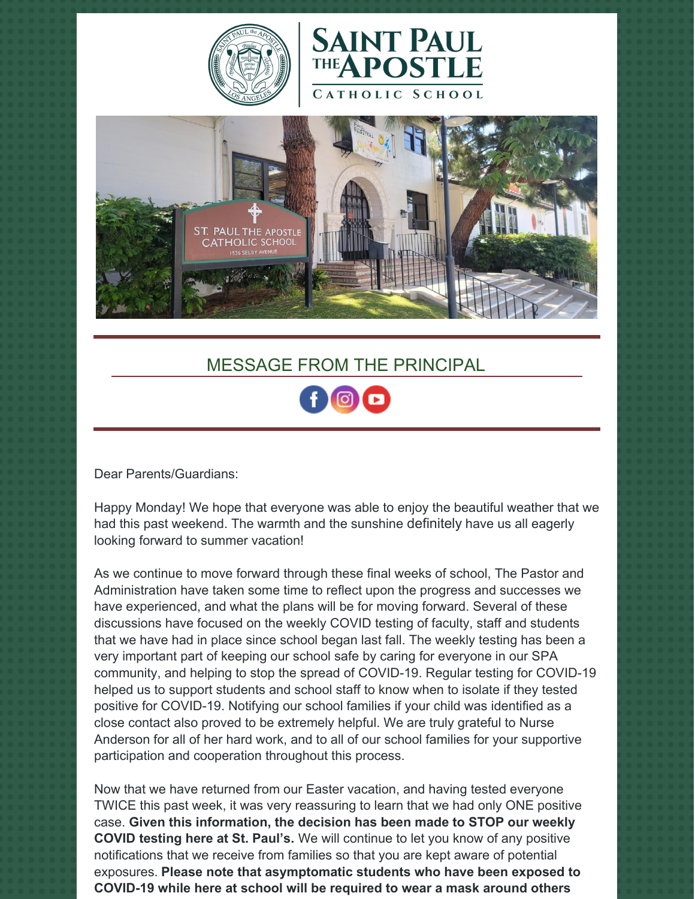





# MESSAGE FROM THE PRINCIPAL

Dear Parents/Guardians:

Happy Monday! We hope that everyone was able to enjoy the beautiful weather that we had this past weekend. The warmth and the sunshine definitely have us all eagerly looking forward to summer vacation!

As we continue to move forward through these final weeks of school, The Pastor and Administration have taken some time to reflect upon the progress and successes we have experienced, and what the plans will be for moving forward. Several of these discussions have focused on the weekly COVID testing of faculty, staff and students that we have had in place since school began last fall. The weekly testing has been a very important part of keeping our school safe by caring for everyone in our SPA community, and helping to stop the spread of COVID-19. Regular testing for COVID-19 helped us to support students and school staff to know when to isolate if they tested positive for COVID-19. Notifying our school families if your child was identified as a close contact also proved to be extremely helpful. We are truly grateful to Nurse Anderson for all of her hard work, and to all of our school families for your supportive participation and cooperation throughout this process.

Now that we have returned from our Easter vacation, and having tested everyone TWICE this past week, it was very reassuring to learn that we had only ONE positive case. **Given this information, the decision has been made to STOP our weekly COVID testing here at St. Paul's.** We will continue to let you know of any positive notifications that we receive from families so that you are kept aware of potential exposures. **Please note that asymptomatic students who have been exposed to COVID-19 while here at school will be required to wear a mask around others**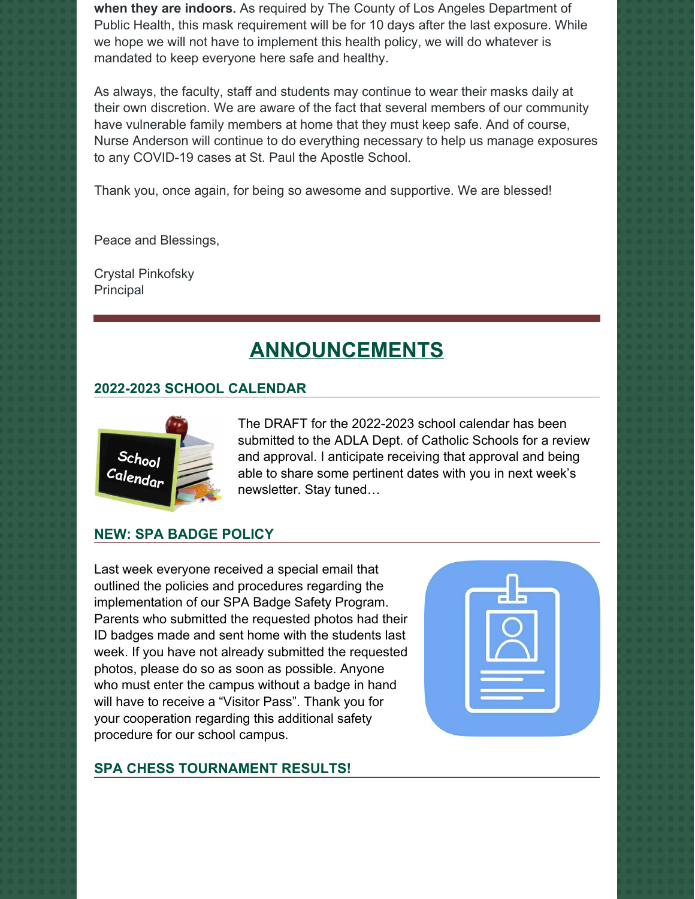**when they are indoors.** As required by The County of Los Angeles Department of Public Health, this mask requirement will be for 10 days after the last exposure. While we hope we will not have to implement this health policy, we will do whatever is mandated to keep everyone here safe and healthy.

As always, the faculty, staff and students may continue to wear their masks daily at their own discretion. We are aware of the fact that several members of our community have vulnerable family members at home that they must keep safe. And of course, Nurse Anderson will continue to do everything necessary to help us manage exposures to any COVID-19 cases at St. Paul the Apostle School.

Thank you, once again, for being so awesome and supportive. We are blessed!

Peace and Blessings,

Crystal Pinkofsky Principal

# **ANNOUNCEMENTS**

# **2022-2023 SCHOOL CALENDAR**



The DRAFT for the 2022-2023 school calendar has been submitted to the ADLA Dept. of Catholic Schools for a review and approval. I anticipate receiving that approval and being able to share some pertinent dates with you in next week's newsletter. Stay tuned…

# **NEW: SPA BADGE POLICY**

Last week everyone received a special email that outlined the policies and procedures regarding the implementation of our SPA Badge Safety Program. Parents who submitted the requested photos had their ID badges made and sent home with the students last week. If you have not already submitted the requested photos, please do so as soon as possible. Anyone who must enter the campus without a badge in hand will have to receive a "Visitor Pass". Thank you for your cooperation regarding this additional safety procedure for our school campus.

#### **SPA CHESS TOURNAMENT RESULTS!**

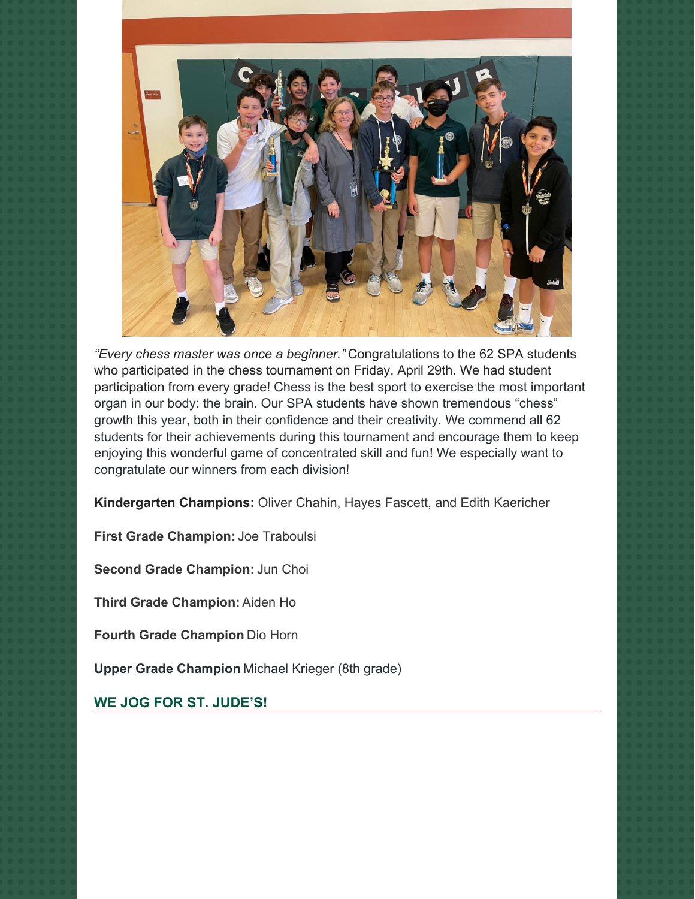

*"Every chess master was once a beginner."* Congratulations to the 62 SPA students who participated in the chess tournament on Friday, April 29th. We had student participation from every grade! Chess is the best sport to exercise the most important organ in our body: the brain. Our SPA students have shown tremendous "chess" growth this year, both in their confidence and their creativity. We commend all 62 students for their achievements during this tournament and encourage them to keep enjoying this wonderful game of concentrated skill and fun! We especially want to congratulate our winners from each division!

**Kindergarten Champions:** Oliver Chahin, Hayes Fascett, and Edith Kaericher

**First Grade Champion:** Joe Traboulsi

**Second Grade Champion:** Jun Choi

**Third Grade Champion:** Aiden Ho

**Fourth Grade Champion** Dio Horn

**Upper Grade Champion** Michael Krieger (8th grade)

**WE JOG FOR ST. JUDE'S!**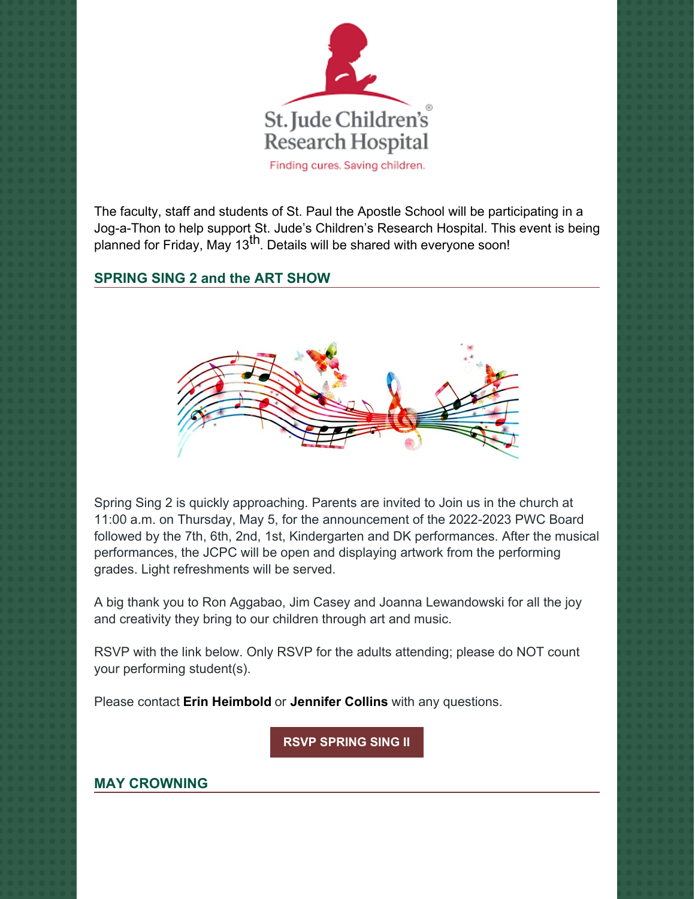

The faculty, staff and students of St. Paul the Apostle School will be participating in a Jog-a-Thon to help support St. Jude's Children's Research Hospital. This event is being planned for Friday, May 13<sup>th</sup>. Details will be shared with everyone soon!

### **SPRING SING 2 and the ART SHOW**



Spring Sing 2 is quickly approaching. Parents are invited to Join us in the church at 11:00 a.m. on Thursday, May 5, for the announcement of the 2022-2023 PWC Board followed by the 7th, 6th, 2nd, 1st, Kindergarten and DK performances. After the musical performances, the JCPC will be open and displaying artwork from the performing grades. Light refreshments will be served.

A big thank you to Ron Aggabao, Jim Casey and Joanna Lewandowski for all the joy and creativity they bring to our children through art and music.

RSVP with the link below. Only RSVP for the adults attending; please do NOT count your performing student(s).

Please contact **Erin [Heimbold](mailto:erinheimbold@icloud.com)** or **[Jennifer](mailto:mjfuertescollins@gmail.com) Collins** with any questions.

**RSVP [SPRING](https://www.prestoregister.com/cgi-bin/order.pl?ref=spapwc44&fm=38) SING II**

# **MAY CROWNING**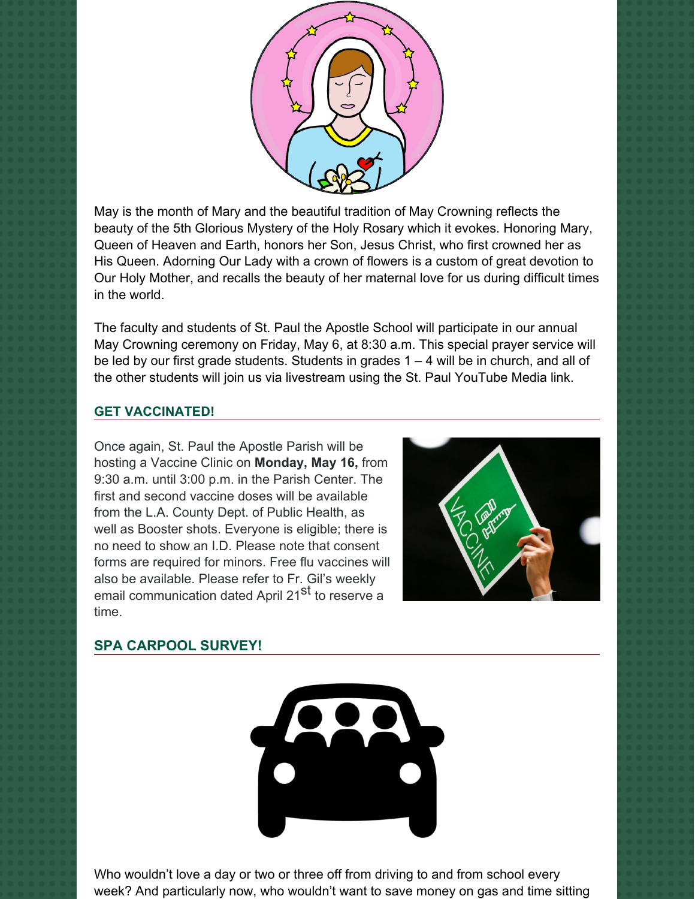

May is the month of Mary and the beautiful tradition of May Crowning reflects the beauty of the 5th Glorious Mystery of the Holy Rosary which it evokes. Honoring Mary, Queen of Heaven and Earth, honors her Son, Jesus Christ, who first crowned her as His Queen. Adorning Our Lady with a crown of flowers is a custom of great devotion to Our Holy Mother, and recalls the beauty of her maternal love for us during difficult times in the world.

The faculty and students of St. Paul the Apostle School will participate in our annual May Crowning ceremony on Friday, May 6, at 8:30 a.m. This special prayer service will be led by our first grade students. Students in grades 1 – 4 will be in church, and all of the other students will join us via livestream using the St. Paul YouTube Media link.

#### **GET VACCINATED!**

Once again, St. Paul the Apostle Parish will be hosting a Vaccine Clinic on **Monday, May 16,** from 9:30 a.m. until 3:00 p.m. in the Parish Center. The first and second vaccine doses will be available from the L.A. County Dept. of Public Health, as well as Booster shots. Everyone is eligible; there is no need to show an I.D. Please note that consent forms are required for minors. Free flu vaccines will also be available. Please refer to Fr. Gil's weekly email communication dated April 21<sup>st</sup> to reserve a time.



#### **SPA CARPOOL SURVEY!**



Who wouldn't love a day or two or three off from driving to and from school every week? And particularly now, who wouldn't want to save money on gas and time sitting